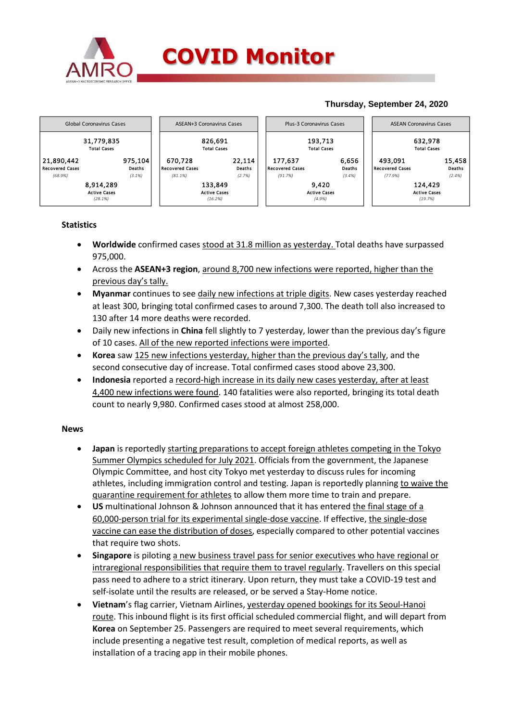

## **Thursday, September 24, 2020**



## **Statistics**

- **Worldwide** confirmed cases stood at 31.8 million as yesterday. Total deaths have surpassed 975,000.
- Across the **ASEAN+3 region**, around 8,700 new infections were reported, higher than the previous day's tally.
- **Myanmar** continues to see daily new infections at triple digits. New cases yesterday reached at least 300, bringing total confirmed cases to around 7,300. The death toll also increased to 130 after 14 more deaths were recorded.
- Daily new infections in **China** fell slightly to 7 yesterday, lower than the previous day's figure of 10 cases. All of the new reported infections were imported.
- **Korea** saw 125 new infections yesterday, higher than the previous day's tally, and the second consecutive day of increase. Total confirmed cases stood above 23,300.
- **Indonesia** reported a record-high increase in its daily new cases yesterday, after at least 4,400 new infections were found. 140 fatalities were also reported, bringing its total death count to nearly 9,980. Confirmed cases stood at almost 258,000.

## **News**

- **Japan** is reportedly starting preparations to accept foreign athletes competing in the Tokyo Summer Olympics scheduled for July 2021. Officials from the government, the Japanese Olympic Committee, and host city Tokyo met yesterday to discuss rules for incoming athletes, including immigration control and testing. Japan is reportedly planning to waive the quarantine requirement for athletes to allow them more time to train and prepare.
- **US** multinational Johnson & Johnson announced that it has entered the final stage of a 60,000-person trial for its experimental single-dose vaccine. If effective, the single-dose vaccine can ease the distribution of doses, especially compared to other potential vaccines that require two shots.
- **Singapore** is piloting a new business travel pass for senior executives who have regional or intraregional responsibilities that require them to travel regularly. Travellers on this special pass need to adhere to a strict itinerary. Upon return, they must take a COVID-19 test and self-isolate until the results are released, or be served a Stay-Home notice.
- **Vietnam**'s flag carrier, Vietnam Airlines, yesterday opened bookings for its Seoul-Hanoi route. This inbound flight is its first official scheduled commercial flight, and will depart from **Korea** on September 25. Passengers are required to meet several requirements, which include presenting a negative test result, completion of medical reports, as well as installation of a tracing app in their mobile phones.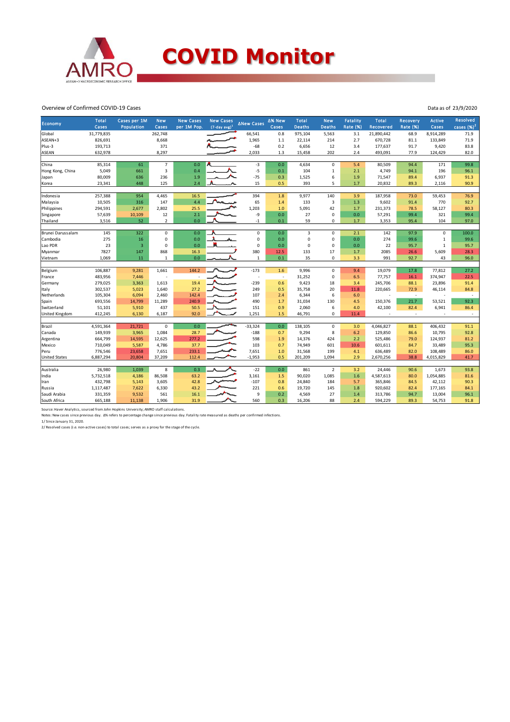

Overview of Confirmed COVID-19 Cases

| Economy                            | <b>Total</b><br>Cases | Cases per 1M<br>Population | <b>New</b><br>Cases      | <b>New Cases</b><br>per 1M Pop. | <b>New Cases</b><br>$(7$ -day avg) <sup>1</sup> | ∆New Cases  | ∆% New<br>Cases | <b>Total</b><br><b>Deaths</b> | <b>New</b><br><b>Deaths</b> | Fatality<br>Rate (%) | Total<br>Recovered | <b>Recovery</b><br><b>Rate (%)</b> | <b>Active</b><br>Cases | <b>Resolved</b><br>cases $(%)2$ |
|------------------------------------|-----------------------|----------------------------|--------------------------|---------------------------------|-------------------------------------------------|-------------|-----------------|-------------------------------|-----------------------------|----------------------|--------------------|------------------------------------|------------------------|---------------------------------|
| Global                             | 31,779,835            |                            | 262,748                  |                                 |                                                 | 66,541      | 0.8             | 975,104                       | 5,563                       | 3.1                  | 21,890,442         | 68.9                               | 8,914,289              | 71.9                            |
| ASEAN+3                            | 826,691               |                            | 8,668                    |                                 |                                                 | 1,965       | $1.1\,$         | 22,114                        | 214                         | 2.7                  | 670,728            | 81.1                               | 133,849                | 71.9                            |
| Plus-3                             | 193,713               |                            | 371                      |                                 |                                                 | $-68$       | 0.2             | 6,656                         | 12                          | 3.4                  | 177,637            | 91.7                               | 9,420                  | 83.8                            |
| <b>ASEAN</b>                       | 632,978               |                            | 8,297                    |                                 |                                                 | 2,033       | 1.3             | 15,458                        | 202                         | 2.4                  | 493,091            | 77.9                               | 124,429                | 82.0                            |
|                                    |                       |                            |                          |                                 |                                                 |             |                 |                               |                             |                      |                    |                                    |                        |                                 |
| China                              | 85,314                | 61                         | $\overline{\phantom{a}}$ | 0.0                             |                                                 | $-3$        | 0.0             | 4,634                         | $\mathsf 0$                 | 5.4                  | 80,509             | 94.4                               | 171                    | 99.8                            |
| Hong Kong, China                   | 5,049                 | 661                        | 3                        | 0.4                             |                                                 | $-5$        | 0.1             | 104                           | $\mathbf 1$                 | 2.1                  | 4,749              | 94.1                               | 196                    | 96.1                            |
| Japan                              | 80,009                | 636                        | 236                      | 1.9                             |                                                 | $-75$       | 0.3             | 1,525                         | 6                           | 1.9                  | 71,547             | 89.4                               | 6,937                  | 91.3                            |
| Korea                              | 23,341                | 448                        | 125                      | 2.4                             |                                                 | 15          | 0.5             | 393                           | 5                           | 1.7                  | 20,832             | 89.3                               | 2,116                  | 90.9                            |
|                                    |                       |                            |                          |                                 |                                                 |             |                 |                               |                             |                      |                    |                                    |                        |                                 |
| Indonesia                          | 257,388               | 954                        | 4,465                    | 16.5                            |                                                 | 394         | 1.8             | 9,977                         | 140                         | 3.9                  | 187,958            | 73.0                               | 59,453                 | 76.9                            |
| Malaysia                           | 10,505                | 316                        | 147                      | 4.4                             |                                                 | 65          | 1.4             | 133                           | $\overline{3}$              | 1.3                  | 9,602              | 91.4                               | 770                    | 92.7                            |
| Philippines                        | 294,591               | 2,677                      | 2,802                    | 25.5                            |                                                 | 1,203       | 1.0             | 5,091                         | 42                          | 1.7                  | 231,373            | 78.5                               | 58,127                 | 80.3                            |
| Singapore                          | 57,639                | 10,109                     | 12                       | 2.1                             |                                                 | -9          | 0.0             | 27                            | $\mathbf 0$                 | 0.0                  | 57,291             | 99.4                               | 321                    | 99.4                            |
| Thailand                           | 3,516                 | 52                         | $\overline{2}$           | 0.0                             |                                                 | $-1$        | 0.1             | 59                            | 0                           | 1.7                  | 3,353              | 95.4                               | 104                    | 97.0                            |
|                                    |                       |                            |                          |                                 |                                                 |             |                 |                               |                             |                      |                    |                                    |                        |                                 |
| Brunei Darussalam                  | 145                   | 322                        | $\mathbf 0$              | 0.0                             |                                                 | $\mathbf 0$ | 0.0             | 3                             | $\mathbf 0$                 | 2.1                  | 142                | 97.9                               | $\mathbf 0$            | 100.0                           |
| Cambodia                           | 275                   | 16                         | 0                        | 0.0                             |                                                 | $\mathsf 0$ | 0.0             | $\mathbf 0$                   | $\mathsf 0$                 | 0.0                  | 274                | 99.6                               | $\mathbf{1}$           | 99.6                            |
| Lao PDR                            | 23                    | $\overline{3}$             | $\pmb{0}$                | 0.0                             |                                                 | $\mathbf 0$ | 0.0             | $\pmb{0}$                     | $\pmb{0}$                   | 0.0                  | 22                 | 95.7                               | $\mathbf 1$            | 95.7                            |
| Myanmar                            | 7827                  | 147                        | 868                      | 16.3                            |                                                 | 380         | 12.5            | 133                           | 17                          | 1.7                  | 2085               | 26.6                               | 5,609                  | 28.3                            |
| Vietnam                            | 1,069                 | 11                         | $\mathbf{1}$             | 0.0                             |                                                 | 1           | 0.1             | 35                            | $\mathbf 0$                 | 3.3                  | 991                | 92.7                               | 43                     | 96.0                            |
| Belgium                            | 106,887               | 9,281                      | 1,661                    | 144.2                           |                                                 | $-173$      | 1.6             | 9,996                         | $\mathsf 0$                 | 9.4                  | 19,079             | 17.8                               | 77,812                 | 27.2                            |
| France                             | 483,956               | 7,446                      |                          |                                 |                                                 | ÷           | $\sim$          | 31,252                        | $\mathbf 0$                 | 6.5                  | 77,757             | 16.1                               | 374,947                | 22.5                            |
| Germany                            | 279,025               | 3,363                      | 1,613                    | 19.4                            |                                                 | $-239$      | 0.6             | 9,423                         | 18                          | 3.4                  | 245,706            | 88.1                               | 23,896                 | 91.4                            |
| Italy                              | 302,537               | 5,023                      | 1,640                    | 27.2                            |                                                 | 249         | 0.5             | 35,758                        | 20                          | 11.8                 | 220,665            | 72.9                               | 46,114                 | 84.8                            |
| Netherlands                        | 105,304               | 6,094                      | 2,460                    | 142.4                           |                                                 | 107         | 2.4             | 6,344                         | 6                           | 6.0                  |                    | $\sim$                             |                        | $\overline{\phantom{a}}$        |
| Spain                              | 693,556               | 14,799                     | 11,289                   | 240.9                           |                                                 | 490         | 1.7             | 31,034                        | 130                         | 4.5                  | 150,376            | 21.7                               | 53,521                 | 92.3                            |
| Switzerland                        | 51,101                | 5,910                      | 437                      | 50.5                            |                                                 | 151         | 0.9             | 2,060                         | 6                           | 4.0                  | 42,100             | 82.4                               | 6,941                  | 86.4                            |
|                                    |                       |                            | 6,187                    | 92.0                            |                                                 | 1,251       | 1.5             | 46,791                        | $\mathbf 0$                 | 11.4                 |                    | ÷                                  |                        | $\overline{\phantom{a}}$        |
| United Kingdom<br>412,245<br>6,130 |                       |                            |                          |                                 |                                                 |             |                 |                               |                             |                      |                    |                                    |                        |                                 |
| Brazil                             | 4,591,364             | 21,721                     | $\mathsf 0$              | 0.0                             |                                                 | $-33,324$   | 0.0             | 138,105                       | $\mathbf 0$                 | 3.0                  | 4,046,827          | 88.1                               | 406,432                | 91.1                            |
| Canada                             | 149,939               | 3,965                      | 1,084                    | 28.7                            |                                                 | $-188$      | 0.7             | 9,294                         | 8                           | 6.2                  | 129,850            | 86.6                               | 10,795                 | 92.8                            |
| Argentina                          | 664,799               | 14,595                     | 12,625                   | 277.2                           |                                                 | 598         | 1.9             | 14,376                        | 424                         | 2.2                  | 525,486            | 79.0                               | 124,937                | 81.2                            |
| Mexico                             | 710,049               | 5,587                      | 4,786                    | 37.7                            |                                                 | 103         | 0.7             | 74,949                        | 601                         | 10.6                 | 601,611            | 84.7                               | 33,489                 | 95.3                            |
| Peru                               | 776,546               | 23,658                     | 7,651                    | 233.1                           |                                                 | 7,651       | 1.0             | 31,568                        | 199                         | 4.1                  | 636,489            | 82.0                               | 108,489                | 86.0                            |
| <b>United States</b>               | 6,887,294             | 20,804                     | 37,209                   | 112.4                           |                                                 | $-1,953$    | 0.5             | 201,209                       | 1,094                       | 2.9                  | 2,670,256          | 38.8                               | 4,015,829              | 41.7                            |
|                                    |                       |                            |                          |                                 |                                                 |             |                 |                               |                             |                      |                    |                                    |                        |                                 |
| Australia                          | 26,980                | 1,039                      | 8                        | 0.3                             |                                                 | $-22$       | 0.0             | 861                           | $\overline{2}$              | 3.2                  | 24,446             | 90.6                               | 1,673                  | 93.8                            |
| India                              | 5,732,518             | 4,186                      | 86,508                   | 63.2                            |                                                 | 3,161       | 1.5             | 90,020                        | 1,085                       | $1.6\,$              | 4,587,613          | 80.0                               | 1,054,885              | 81.6                            |
| Iran                               | 432,798               | 5,143                      | 3,605                    | 42.8                            |                                                 | $-107$      | 0.8             | 24,840                        | 184                         | 5.7                  | 365,846            | 84.5                               | 42,112                 | 90.3                            |
| Russia                             | 1,117,487             | 7,622                      | 6,330                    | 43.2                            |                                                 | 221         | 0.6             | 19,720                        | 145                         | 1.8                  | 920,602            | 82.4                               | 177,165                | 84.1                            |
| Saudi Arabia                       | 331,359               | 9,532                      | 561                      | 16.1                            |                                                 | $\mathsf g$ | 0.2             | 4,569                         | 27                          | 1.4                  | 313,786            | 94.7                               | 13,004                 | 96.1                            |
| South Africa                       | 665,188               | 11,138                     | 1,906                    | 31.9                            |                                                 | 560         | 0.3             | 16,206                        | 88                          | 2.4                  | 594,229            | 89.3                               | 54,753                 | 91.8                            |

Source: Haver Analytics, sourced from John Hopkins University; AMRO staff calculations.<br>Notes: New cases since previous day. Δ% refers to percentage change since previous day. Fatality rate measured as deaths per confirme

2/ Resolved cases (i.e. non-active cases) to total cases; serves as a proxy for the stage of the cycle.

Data as of 23/9/2020